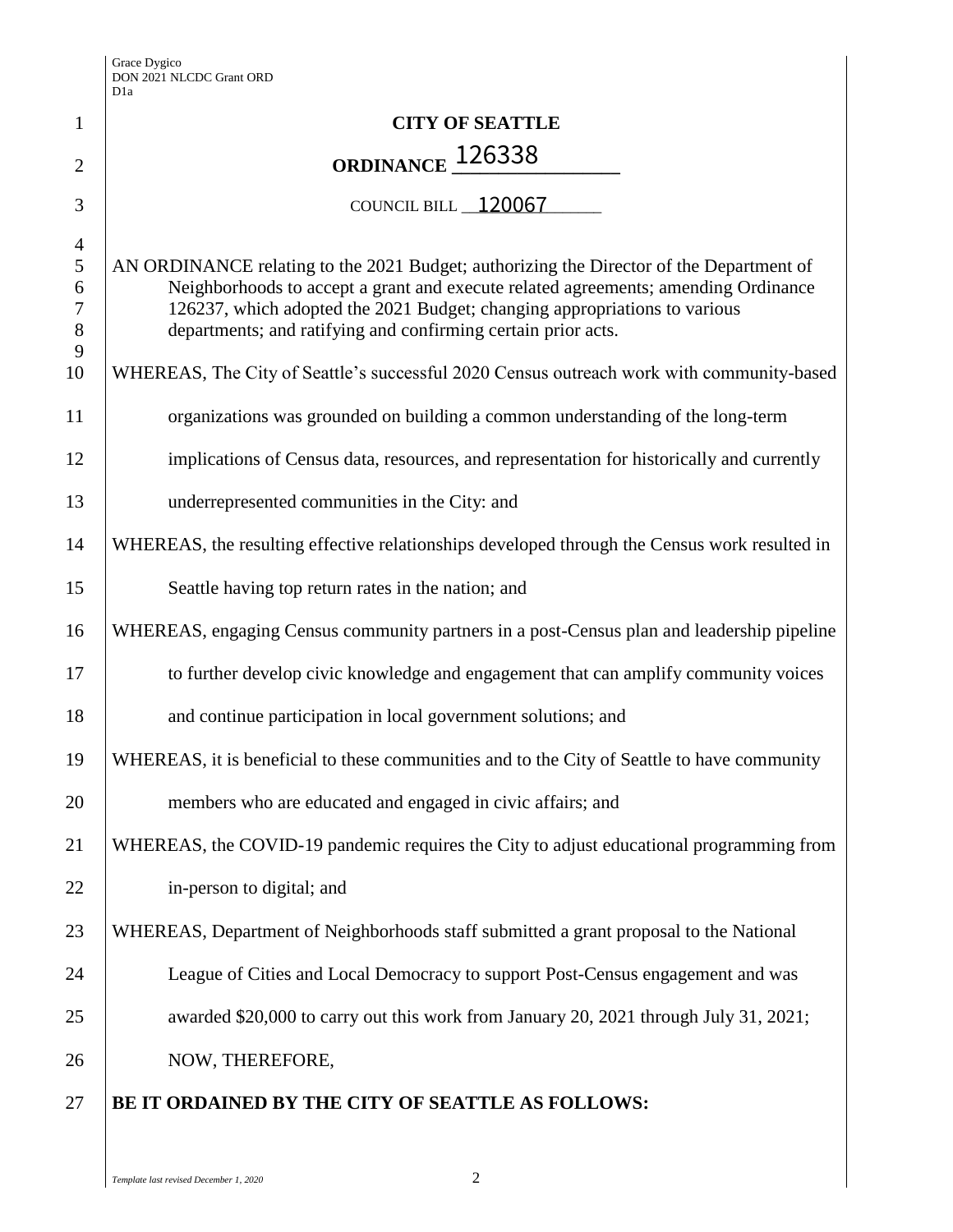| $\mathbf{1}$                                                          | <b>CITY OF SEATTLE</b>                                                                                                                                                                                                                                                                                                      |
|-----------------------------------------------------------------------|-----------------------------------------------------------------------------------------------------------------------------------------------------------------------------------------------------------------------------------------------------------------------------------------------------------------------------|
| $\overline{2}$                                                        | ORDINANCE 126338                                                                                                                                                                                                                                                                                                            |
| 3                                                                     | COUNCIL BILL 120067                                                                                                                                                                                                                                                                                                         |
| $\overline{4}$<br>$\mathfrak{S}$<br>6<br>$\overline{7}$<br>$8\,$<br>9 | AN ORDINANCE relating to the 2021 Budget; authorizing the Director of the Department of<br>Neighborhoods to accept a grant and execute related agreements; amending Ordinance<br>126237, which adopted the 2021 Budget; changing appropriations to various<br>departments; and ratifying and confirming certain prior acts. |
| 10                                                                    | WHEREAS, The City of Seattle's successful 2020 Census outreach work with community-based                                                                                                                                                                                                                                    |
| 11                                                                    | organizations was grounded on building a common understanding of the long-term                                                                                                                                                                                                                                              |
| 12                                                                    | implications of Census data, resources, and representation for historically and currently                                                                                                                                                                                                                                   |
| 13                                                                    | underrepresented communities in the City: and                                                                                                                                                                                                                                                                               |
| 14                                                                    | WHEREAS, the resulting effective relationships developed through the Census work resulted in                                                                                                                                                                                                                                |
| 15                                                                    | Seattle having top return rates in the nation; and                                                                                                                                                                                                                                                                          |
| 16                                                                    | WHEREAS, engaging Census community partners in a post-Census plan and leadership pipeline                                                                                                                                                                                                                                   |
| 17                                                                    | to further develop civic knowledge and engagement that can amplify community voices                                                                                                                                                                                                                                         |
| 18                                                                    | and continue participation in local government solutions; and                                                                                                                                                                                                                                                               |
| 19                                                                    | WHEREAS, it is beneficial to these communities and to the City of Seattle to have community                                                                                                                                                                                                                                 |
| 20                                                                    | members who are educated and engaged in civic affairs; and                                                                                                                                                                                                                                                                  |
| 21                                                                    | WHEREAS, the COVID-19 pandemic requires the City to adjust educational programming from                                                                                                                                                                                                                                     |
| 22                                                                    | in-person to digital; and                                                                                                                                                                                                                                                                                                   |
| 23                                                                    | WHEREAS, Department of Neighborhoods staff submitted a grant proposal to the National                                                                                                                                                                                                                                       |
| 24                                                                    | League of Cities and Local Democracy to support Post-Census engagement and was                                                                                                                                                                                                                                              |
| 25                                                                    | awarded \$20,000 to carry out this work from January 20, 2021 through July 31, 2021;                                                                                                                                                                                                                                        |
| 26                                                                    | NOW, THEREFORE,                                                                                                                                                                                                                                                                                                             |
| 27                                                                    | BE IT ORDAINED BY THE CITY OF SEATTLE AS FOLLOWS:                                                                                                                                                                                                                                                                           |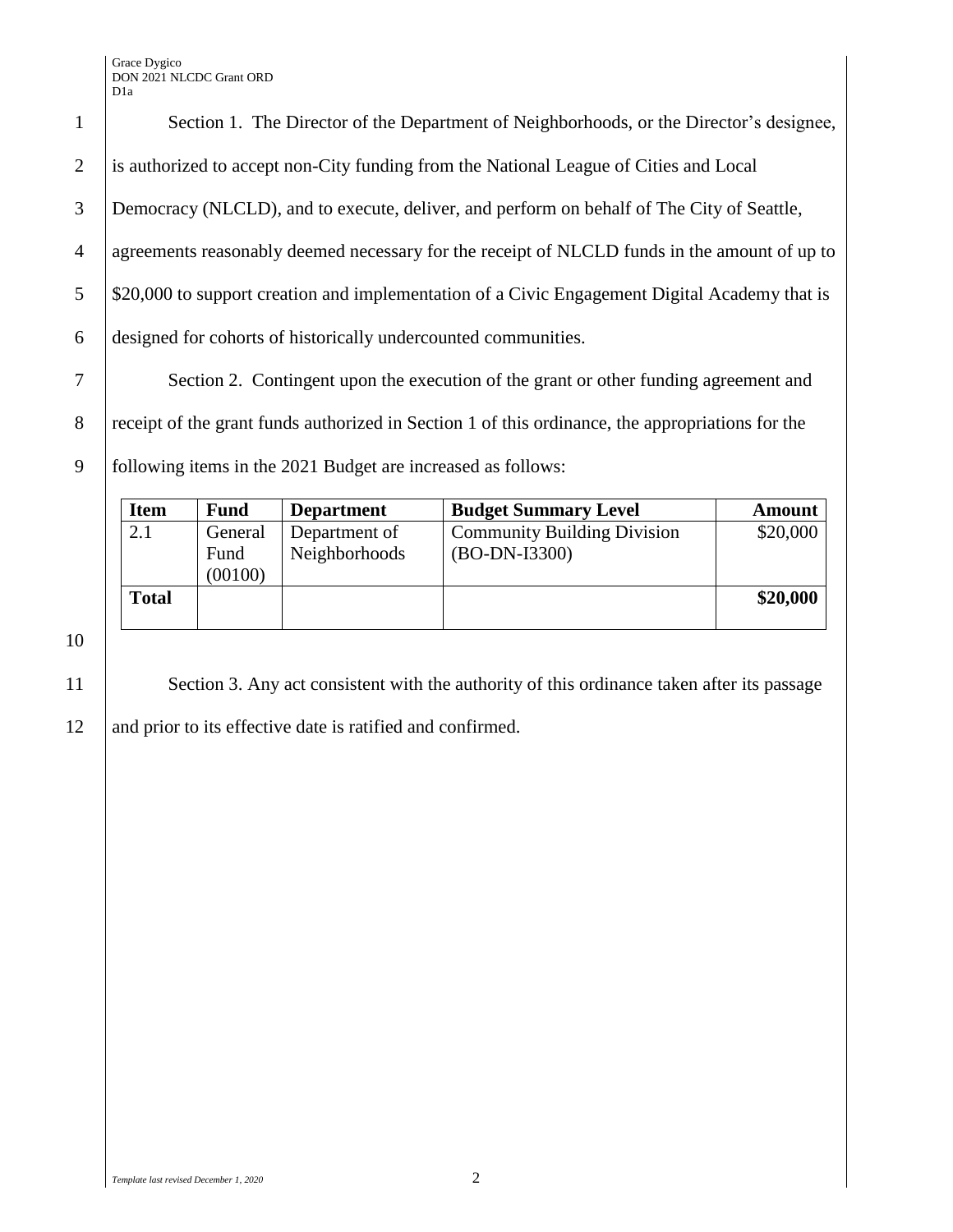Grace Dygico DON 2021 NLCDC Grant ORD D1a

1 Section 1. The Director of the Department of Neighborhoods, or the Director's designee, is authorized to accept non-City funding from the National League of Cities and Local Democracy (NLCLD), and to execute, deliver, and perform on behalf of The City of Seattle, agreements reasonably deemed necessary for the receipt of NLCLD funds in the amount of up to 5 \ \ \\$20,000 to support creation and implementation of a Civic Engagement Digital Academy that is designed for cohorts of historically undercounted communities. Section 2. Contingent upon the execution of the grant or other funding agreement and

8 receipt of the grant funds authorized in Section 1 of this ordinance, the appropriations for the 9 following items in the 2021 Budget are increased as follows:

| <b>Item</b>  | <b>Fund</b> | <b>Department</b> | <b>Budget Summary Level</b>        | <b>Amount</b> |
|--------------|-------------|-------------------|------------------------------------|---------------|
| 2.1          | General     | Department of     | <b>Community Building Division</b> | \$20,000      |
|              | Fund        | Neighborhoods     | $(BO-DN-I3300)$                    |               |
|              | (00100)     |                   |                                    |               |
| <b>Total</b> |             |                   |                                    | \$20,000      |
|              |             |                   |                                    |               |

10

11 Section 3. Any act consistent with the authority of this ordinance taken after its passage 12 and prior to its effective date is ratified and confirmed.